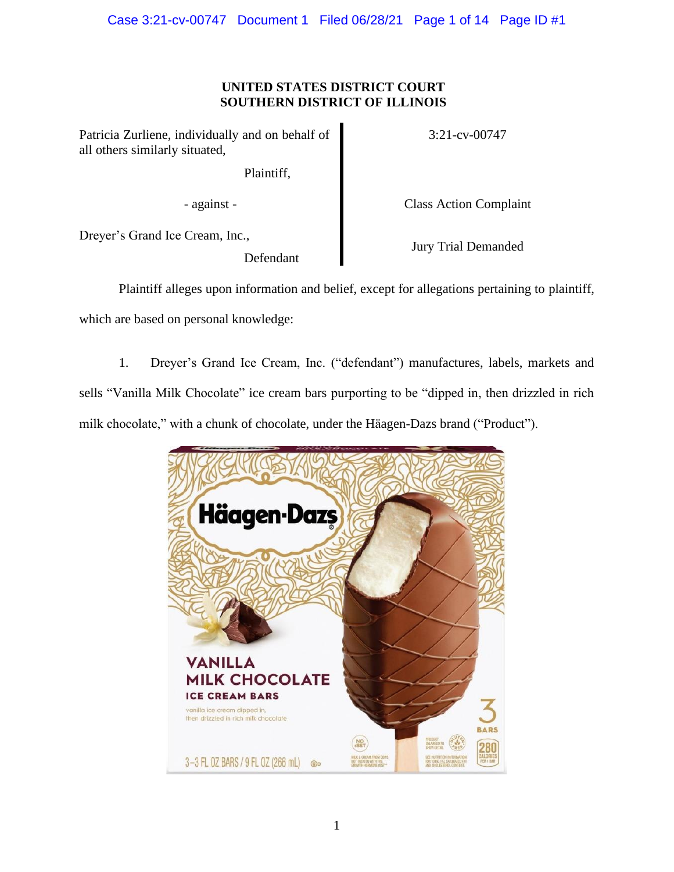## **UNITED STATES DISTRICT COURT SOUTHERN DISTRICT OF ILLINOIS**

Patricia Zurliene, individually and on behalf of all others similarly situated,

Plaintiff,

- against - Class Action Complaint

3:21-cv-00747

Dreyer's Grand Ice Cream, Inc.,

Defendant

Jury Trial Demanded

Plaintiff alleges upon information and belief, except for allegations pertaining to plaintiff, which are based on personal knowledge:

1. Dreyer's Grand Ice Cream, Inc. ("defendant") manufactures, labels, markets and sells "Vanilla Milk Chocolate" ice cream bars purporting to be "dipped in, then drizzled in rich milk chocolate," with a chunk of chocolate, under the Häagen-Dazs brand ("Product").

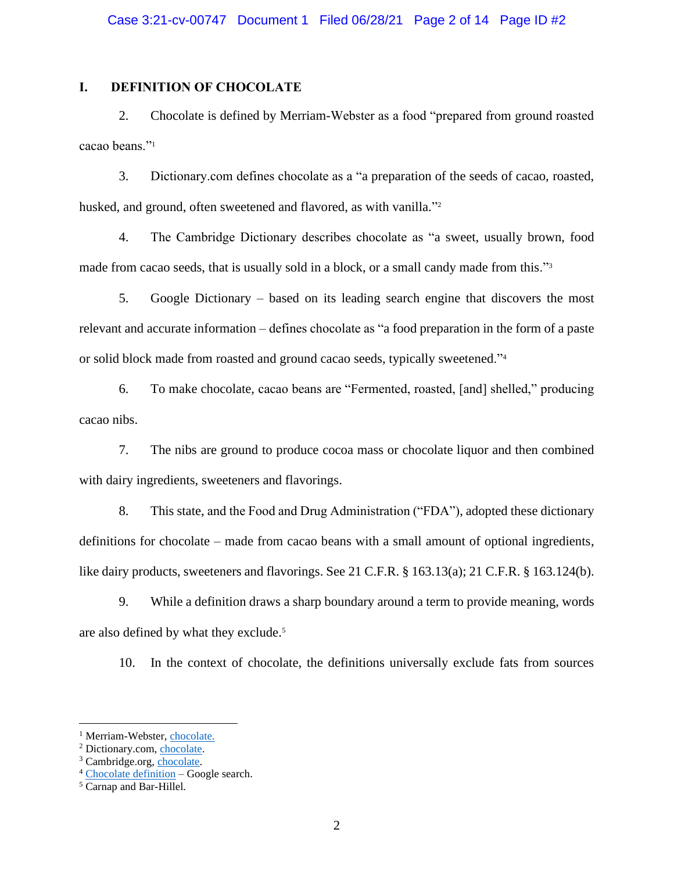## **I. DEFINITION OF CHOCOLATE**

2. Chocolate is defined by Merriam-Webster as a food "prepared from ground roasted cacao beans."<sup>1</sup>

3. Dictionary.com defines chocolate as a "a preparation of the seeds of cacao, roasted, husked, and ground, often sweetened and flavored, as with vanilla."<sup>2</sup>

4. The Cambridge Dictionary describes chocolate as "a sweet, usually brown, food made from cacao seeds, that is usually sold in a block, or a small candy made from this."<sup>3</sup>

5. Google Dictionary – based on its leading search engine that discovers the most relevant and accurate information – defines chocolate as "a food preparation in the form of a paste or solid block made from roasted and ground cacao seeds, typically sweetened."<sup>4</sup>

6. To make chocolate, cacao beans are "Fermented, roasted, [and] shelled," producing cacao nibs.

7. The nibs are ground to produce cocoa mass or chocolate liquor and then combined with dairy ingredients, sweeteners and flavorings.

8. This state, and the Food and Drug Administration ("FDA"), adopted these dictionary definitions for chocolate – made from cacao beans with a small amount of optional ingredients, like dairy products, sweeteners and flavorings. See 21 C.F.R. § 163.13(a); 21 C.F.R. § 163.124(b).

9. While a definition draws a sharp boundary around a term to provide meaning, words are also defined by what they exclude.<sup>5</sup>

10. In the context of chocolate, the definitions universally exclude fats from sources

<sup>&</sup>lt;sup>1</sup> Merriam-Webster, [chocolate.](https://www.merriam-webster.com/dictionary/chocolate)

<sup>2</sup> Dictionary.com, [chocolate.](https://www.dictionary.com/browse/chocolate)

<sup>3</sup> Cambridge.org, [chocolate.](https://dictionary.cambridge.org/us/dictionary/english/chocolate)

<sup>4</sup> [Chocolate](https://www.google.com/search?q=chocolate+meaning&newwindow=1&rlz=1C1GCEA_enUS893US893&biw=1745&bih=829&sxsrf=ALeKk03vMZ8nG5dU4IFJ2wD_VhCm4PtMWg%3A1624852983509&ei=90nZYPvCHunD_Qb7tr6gBw&oq=chocolate+meaning&gs_lcp=Cgdnd3Mtd2l6EAMyAggAMgIIADICCAAyAggAMgIIADICCAAyAggAMgIIADICCAAyAggAOgcIIxCwAxAnOgcIABBHELADOgoILhCwAxDIAxBDOgQIIxAnOgcILhCxAxBDOgQIABBDOgQILhBDOggILhCxAxCTAjoFCAAQsQM6BQguELEDOgUIABCRAjoKCAAQhwIQsQMQFDoFCAAQyQM6CAguEMcBEK8BOgcIABDJAxAKOgUIABCSAzoHCAAQhwIQFEoFCDgSATFKBAhBGABQ2z9YpktgiU1oAXACeACAAZUBiAHgBpIBAzQuNZgBAKABAaoBB2d3cy13aXrIAQ_AAQE&sclient=gws-wiz&ved=0ahUKEwi7mpOHubnxAhXpYd8KHXubD3QQ4dUDCBE&uact=5) definition – Google search.

<sup>5</sup> Carnap and Bar-Hillel.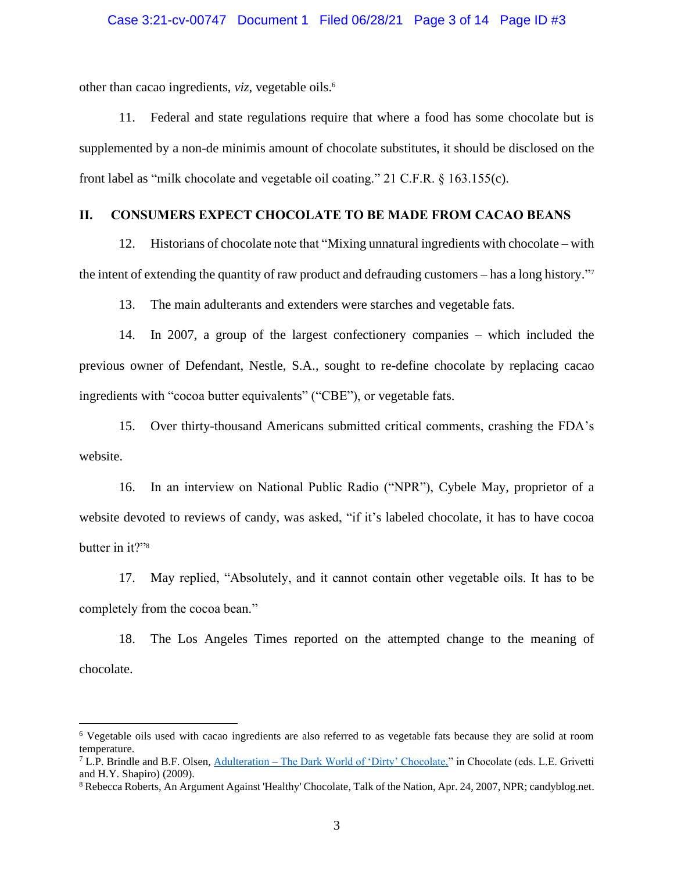other than cacao ingredients, *viz*, vegetable oils. 6

11. Federal and state regulations require that where a food has some chocolate but is supplemented by a non-de minimis amount of chocolate substitutes, it should be disclosed on the front label as "milk chocolate and vegetable oil coating." 21 C.F.R. § 163.155(c).

## **II. CONSUMERS EXPECT CHOCOLATE TO BE MADE FROM CACAO BEANS**

12. Historians of chocolate note that "Mixing unnatural ingredients with chocolate – with the intent of extending the quantity of raw product and defrauding customers – has a long history." 7

13. The main adulterants and extenders were starches and vegetable fats.

14. In 2007, a group of the largest confectionery companies – which included the previous owner of Defendant, Nestle, S.A., sought to re-define chocolate by replacing cacao ingredients with "cocoa butter equivalents" ("CBE"), or vegetable fats.

15. Over thirty-thousand Americans submitted critical comments, crashing the FDA's website.

16. In an interview on National Public Radio ("NPR"), Cybele May, proprietor of a website devoted to reviews of candy, was asked, "if it's labeled chocolate, it has to have cocoa butter in it?"<sup>8</sup>

17. May replied, "Absolutely, and it cannot contain other vegetable oils. It has to be completely from the cocoa bean."

18. The Los Angeles Times reported on the attempted change to the meaning of chocolate.

<sup>6</sup> Vegetable oils used with cacao ingredients are also referred to as vegetable fats because they are solid at room temperature.

 $7$  L.P. Brindle and B.F. Olsen, Adulteration – [The Dark World of 'Dirty' Chocolate,"](https://doi.org/10.1002/9780470411315.ch47) in Chocolate (eds. L.E. Grivetti and H.Y. Shapiro) (2009).

<sup>8</sup> Rebecca Roberts, An Argument Against 'Healthy' Chocolate, Talk of the Nation, Apr. 24, 2007, NPR; candyblog.net.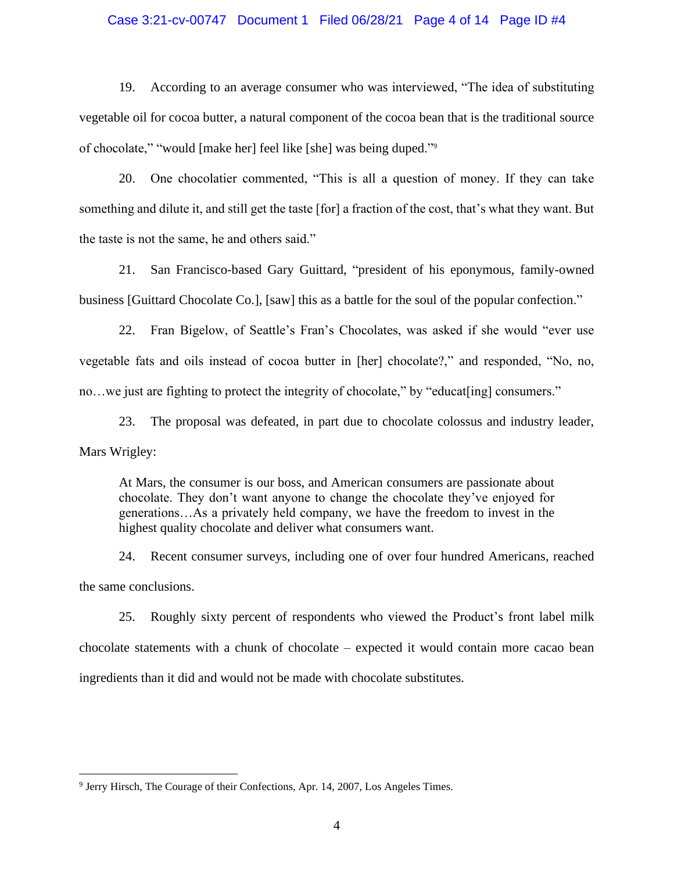#### Case 3:21-cv-00747 Document 1 Filed 06/28/21 Page 4 of 14 Page ID #4

19. According to an average consumer who was interviewed, "The idea of substituting vegetable oil for cocoa butter, a natural component of the cocoa bean that is the traditional source of chocolate," "would [make her] feel like [she] was being duped."<sup>9</sup>

20. One chocolatier commented, "This is all a question of money. If they can take something and dilute it, and still get the taste [for] a fraction of the cost, that's what they want. But the taste is not the same, he and others said."

21. San Francisco-based Gary Guittard, "president of his eponymous, family-owned business [Guittard Chocolate Co.], [saw] this as a battle for the soul of the popular confection."

22. Fran Bigelow, of Seattle's Fran's Chocolates, was asked if she would "ever use vegetable fats and oils instead of cocoa butter in [her] chocolate?," and responded, "No, no, no...we just are fighting to protect the integrity of chocolate," by "educat[ing] consumers."

23. The proposal was defeated, in part due to chocolate colossus and industry leader, Mars Wrigley:

At Mars, the consumer is our boss, and American consumers are passionate about chocolate. They don't want anyone to change the chocolate they've enjoyed for generations…As a privately held company, we have the freedom to invest in the highest quality chocolate and deliver what consumers want.

24. Recent consumer surveys, including one of over four hundred Americans, reached the same conclusions.

25. Roughly sixty percent of respondents who viewed the Product's front label milk chocolate statements with a chunk of chocolate – expected it would contain more cacao bean ingredients than it did and would not be made with chocolate substitutes.

<sup>&</sup>lt;sup>9</sup> Jerry Hirsch, The Courage of their Confections, Apr. 14, 2007, Los Angeles Times.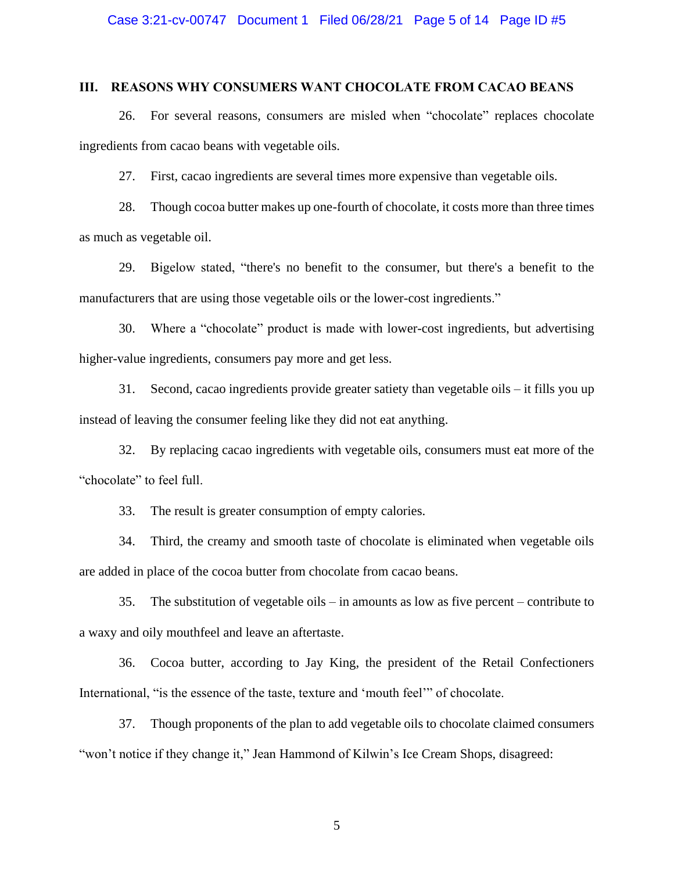## **III. REASONS WHY CONSUMERS WANT CHOCOLATE FROM CACAO BEANS**

26. For several reasons, consumers are misled when "chocolate" replaces chocolate ingredients from cacao beans with vegetable oils.

27. First, cacao ingredients are several times more expensive than vegetable oils.

28. Though cocoa butter makes up one-fourth of chocolate, it costs more than three times as much as vegetable oil.

29. Bigelow stated, "there's no benefit to the consumer, but there's a benefit to the manufacturers that are using those vegetable oils or the lower-cost ingredients."

30. Where a "chocolate" product is made with lower-cost ingredients, but advertising higher-value ingredients, consumers pay more and get less.

31. Second, cacao ingredients provide greater satiety than vegetable oils – it fills you up instead of leaving the consumer feeling like they did not eat anything.

32. By replacing cacao ingredients with vegetable oils, consumers must eat more of the "chocolate" to feel full.

33. The result is greater consumption of empty calories.

34. Third, the creamy and smooth taste of chocolate is eliminated when vegetable oils are added in place of the cocoa butter from chocolate from cacao beans.

35. The substitution of vegetable oils – in amounts as low as five percent – contribute to a waxy and oily mouthfeel and leave an aftertaste.

36. Cocoa butter, according to Jay King, the president of the Retail Confectioners International, "is the essence of the taste, texture and 'mouth feel'" of chocolate.

37. Though proponents of the plan to add vegetable oils to chocolate claimed consumers "won't notice if they change it," Jean Hammond of Kilwin's Ice Cream Shops, disagreed: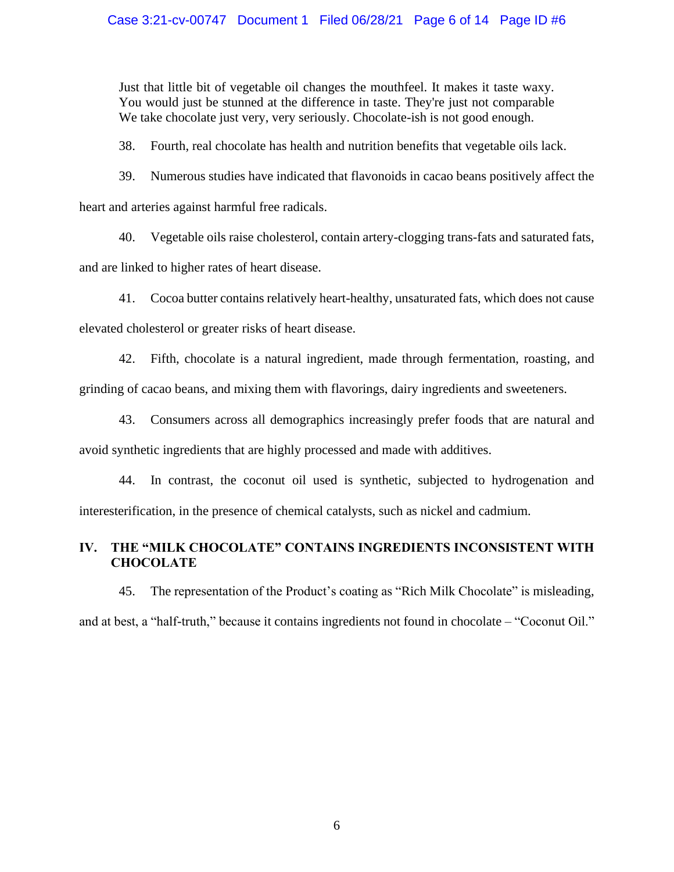## Case 3:21-cv-00747 Document 1 Filed 06/28/21 Page 6 of 14 Page ID #6

Just that little bit of vegetable oil changes the mouthfeel. It makes it taste waxy. You would just be stunned at the difference in taste. They're just not comparable We take chocolate just very, very seriously. Chocolate-ish is not good enough.

38. Fourth, real chocolate has health and nutrition benefits that vegetable oils lack.

39. Numerous studies have indicated that flavonoids in cacao beans positively affect the

heart and arteries against harmful free radicals.

40. Vegetable oils raise cholesterol, contain artery-clogging trans-fats and saturated fats,

and are linked to higher rates of heart disease.

41. Cocoa butter contains relatively heart-healthy, unsaturated fats, which does not cause

elevated cholesterol or greater risks of heart disease.

42. Fifth, chocolate is a natural ingredient, made through fermentation, roasting, and grinding of cacao beans, and mixing them with flavorings, dairy ingredients and sweeteners.

43. Consumers across all demographics increasingly prefer foods that are natural and avoid synthetic ingredients that are highly processed and made with additives.

44. In contrast, the coconut oil used is synthetic, subjected to hydrogenation and interesterification, in the presence of chemical catalysts, such as nickel and cadmium.

## **IV. THE "MILK CHOCOLATE" CONTAINS INGREDIENTS INCONSISTENT WITH CHOCOLATE**

45. The representation of the Product's coating as "Rich Milk Chocolate" is misleading, and at best, a "half-truth," because it contains ingredients not found in chocolate – "Coconut Oil."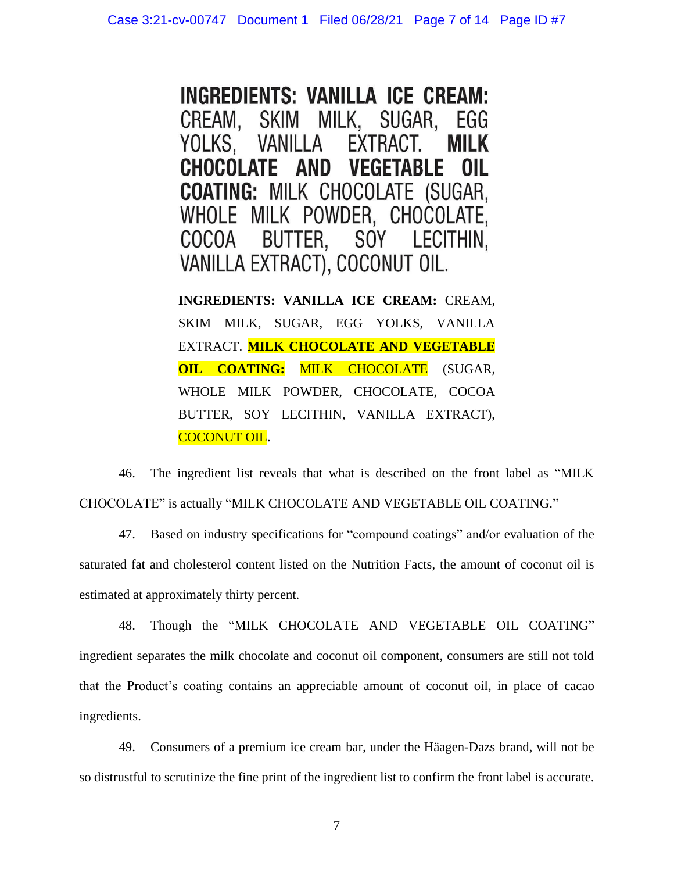**INGREDIENTS: VANILLA ICE CREAM:** SKIM MILK, SUGAR, CREAM. EGG YOLKS, **VANILLA** EXTRACT. **MILK CHOCOLATE AND VEGETABLE** OIL **COATING: MILK CHOCOLATE (SUGAR,** WHOLE MILK POWDER, CHOCOLATE, COCOA BUTTER, SOY LECITHIN, VANILLA EXTRACT), COCONUT OIL.

**INGREDIENTS: VANILLA ICE CREAM:** CREAM, SKIM MILK, SUGAR, EGG YOLKS, VANILLA EXTRACT. **MILK CHOCOLATE AND VEGETABLE OIL COATING: MILK CHOCOLATE** (SUGAR, WHOLE MILK POWDER, CHOCOLATE, COCOA BUTTER, SOY LECITHIN, VANILLA EXTRACT), COCONUT OIL.

46. The ingredient list reveals that what is described on the front label as "MILK CHOCOLATE" is actually "MILK CHOCOLATE AND VEGETABLE OIL COATING."

47. Based on industry specifications for "compound coatings" and/or evaluation of the saturated fat and cholesterol content listed on the Nutrition Facts, the amount of coconut oil is estimated at approximately thirty percent.

48. Though the "MILK CHOCOLATE AND VEGETABLE OIL COATING" ingredient separates the milk chocolate and coconut oil component, consumers are still not told that the Product's coating contains an appreciable amount of coconut oil, in place of cacao ingredients.

49. Consumers of a premium ice cream bar, under the Häagen-Dazs brand, will not be so distrustful to scrutinize the fine print of the ingredient list to confirm the front label is accurate.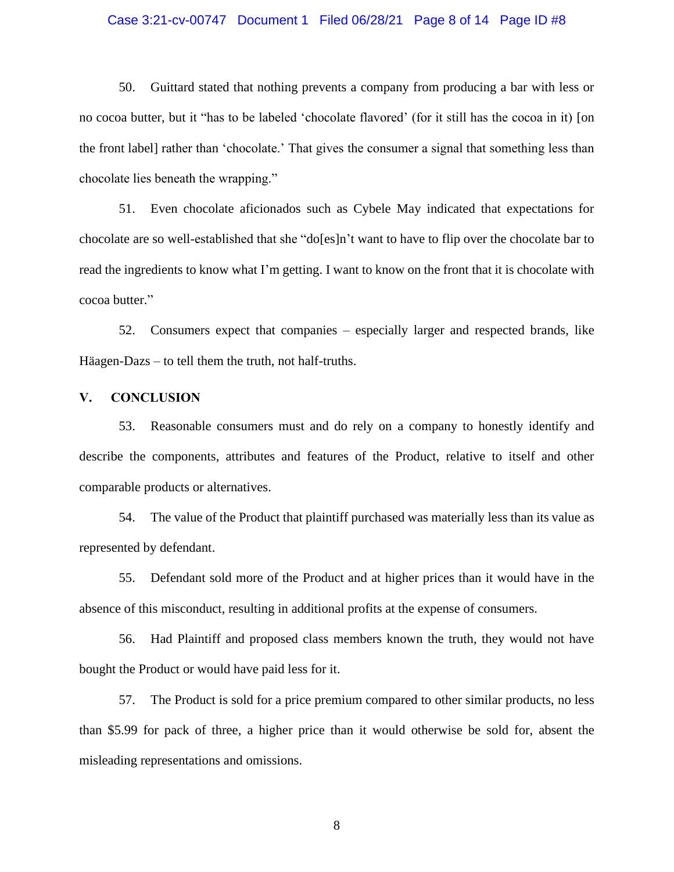#### Case 3:21-cv-00747 Document 1 Filed 06/28/21 Page 8 of 14 Page ID #8

50. Guittard stated that nothing prevents a company from producing a bar with less or no cocoa butter, but it "has to be labeled 'chocolate flavored' (for it still has the cocoa in it) [on the front label] rather than 'chocolate.' That gives the consumer a signal that something less than chocolate lies beneath the wrapping."

51. Even chocolate aficionados such as Cybele May indicated that expectations for chocolate are so well-established that she "do[es]n't want to have to flip over the chocolate bar to read the ingredients to know what I'm getting. I want to know on the front that it is chocolate with cocoa butter."

52. Consumers expect that companies – especially larger and respected brands, like Häagen-Dazs – to tell them the truth, not half-truths.

#### **V. CONCLUSION**

53. Reasonable consumers must and do rely on a company to honestly identify and describe the components, attributes and features of the Product, relative to itself and other comparable products or alternatives.

54. The value of the Product that plaintiff purchased was materially less than its value as represented by defendant.

55. Defendant sold more of the Product and at higher prices than it would have in the absence of this misconduct, resulting in additional profits at the expense of consumers.

56. Had Plaintiff and proposed class members known the truth, they would not have bought the Product or would have paid less for it.

57. The Product is sold for a price premium compared to other similar products, no less than \$5.99 for pack of three, a higher price than it would otherwise be sold for, absent the misleading representations and omissions.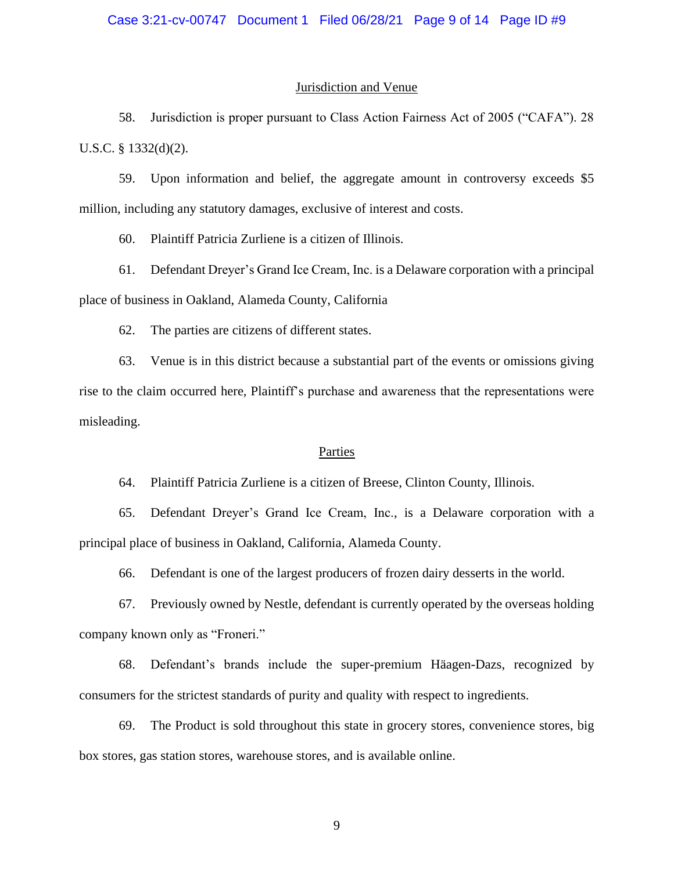#### Jurisdiction and Venue

58. Jurisdiction is proper pursuant to Class Action Fairness Act of 2005 ("CAFA"). 28 U.S.C. § 1332(d)(2).

59. Upon information and belief, the aggregate amount in controversy exceeds \$5 million, including any statutory damages, exclusive of interest and costs.

60. Plaintiff Patricia Zurliene is a citizen of Illinois.

61. Defendant Dreyer's Grand Ice Cream, Inc. is a Delaware corporation with a principal place of business in Oakland, Alameda County, California

62. The parties are citizens of different states.

63. Venue is in this district because a substantial part of the events or omissions giving rise to the claim occurred here, Plaintiff's purchase and awareness that the representations were misleading.

#### Parties

64. Plaintiff Patricia Zurliene is a citizen of Breese, Clinton County, Illinois.

65. Defendant Dreyer's Grand Ice Cream, Inc., is a Delaware corporation with a principal place of business in Oakland, California, Alameda County.

66. Defendant is one of the largest producers of frozen dairy desserts in the world.

67. Previously owned by Nestle, defendant is currently operated by the overseas holding company known only as "Froneri."

68. Defendant's brands include the super-premium Häagen-Dazs, recognized by consumers for the strictest standards of purity and quality with respect to ingredients.

69. The Product is sold throughout this state in grocery stores, convenience stores, big box stores, gas station stores, warehouse stores, and is available online.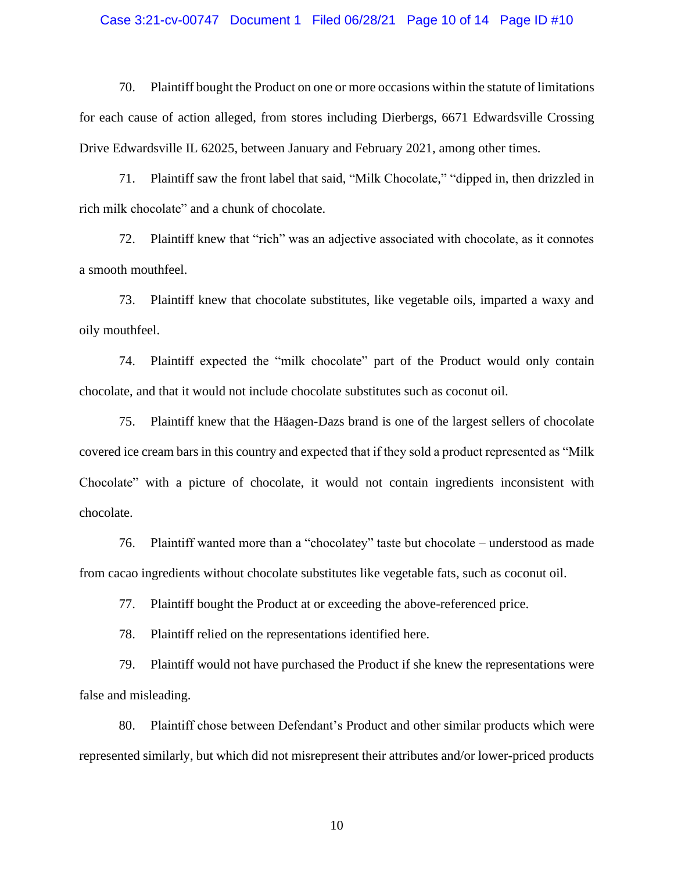#### Case 3:21-cv-00747 Document 1 Filed 06/28/21 Page 10 of 14 Page ID #10

70. Plaintiff bought the Product on one or more occasions within the statute of limitations for each cause of action alleged, from stores including Dierbergs, 6671 Edwardsville Crossing Drive Edwardsville IL 62025, between January and February 2021, among other times.

71. Plaintiff saw the front label that said, "Milk Chocolate," "dipped in, then drizzled in rich milk chocolate" and a chunk of chocolate.

72. Plaintiff knew that "rich" was an adjective associated with chocolate, as it connotes a smooth mouthfeel.

73. Plaintiff knew that chocolate substitutes, like vegetable oils, imparted a waxy and oily mouthfeel.

74. Plaintiff expected the "milk chocolate" part of the Product would only contain chocolate, and that it would not include chocolate substitutes such as coconut oil.

75. Plaintiff knew that the Häagen-Dazs brand is one of the largest sellers of chocolate covered ice cream bars in this country and expected that if they sold a product represented as "Milk Chocolate" with a picture of chocolate, it would not contain ingredients inconsistent with chocolate.

76. Plaintiff wanted more than a "chocolatey" taste but chocolate – understood as made from cacao ingredients without chocolate substitutes like vegetable fats, such as coconut oil.

77. Plaintiff bought the Product at or exceeding the above-referenced price.

78. Plaintiff relied on the representations identified here.

79. Plaintiff would not have purchased the Product if she knew the representations were false and misleading.

80. Plaintiff chose between Defendant's Product and other similar products which were represented similarly, but which did not misrepresent their attributes and/or lower-priced products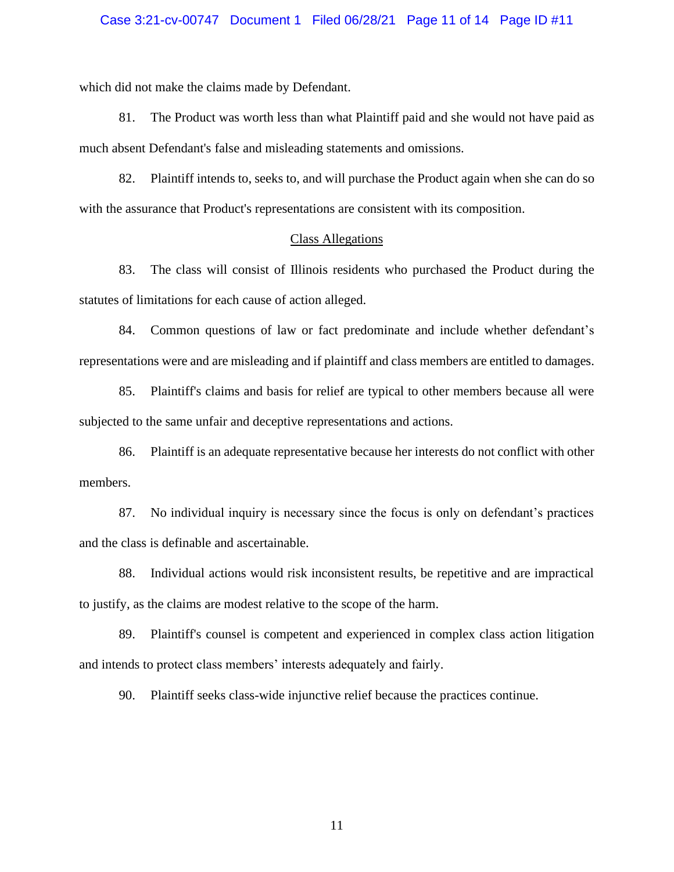#### Case 3:21-cv-00747 Document 1 Filed 06/28/21 Page 11 of 14 Page ID #11

which did not make the claims made by Defendant.

81. The Product was worth less than what Plaintiff paid and she would not have paid as much absent Defendant's false and misleading statements and omissions.

82. Plaintiff intends to, seeks to, and will purchase the Product again when she can do so with the assurance that Product's representations are consistent with its composition.

## Class Allegations

83. The class will consist of Illinois residents who purchased the Product during the statutes of limitations for each cause of action alleged.

84. Common questions of law or fact predominate and include whether defendant's representations were and are misleading and if plaintiff and class members are entitled to damages.

85. Plaintiff's claims and basis for relief are typical to other members because all were subjected to the same unfair and deceptive representations and actions.

86. Plaintiff is an adequate representative because her interests do not conflict with other members.

87. No individual inquiry is necessary since the focus is only on defendant's practices and the class is definable and ascertainable.

88. Individual actions would risk inconsistent results, be repetitive and are impractical to justify, as the claims are modest relative to the scope of the harm.

89. Plaintiff's counsel is competent and experienced in complex class action litigation and intends to protect class members' interests adequately and fairly.

90. Plaintiff seeks class-wide injunctive relief because the practices continue.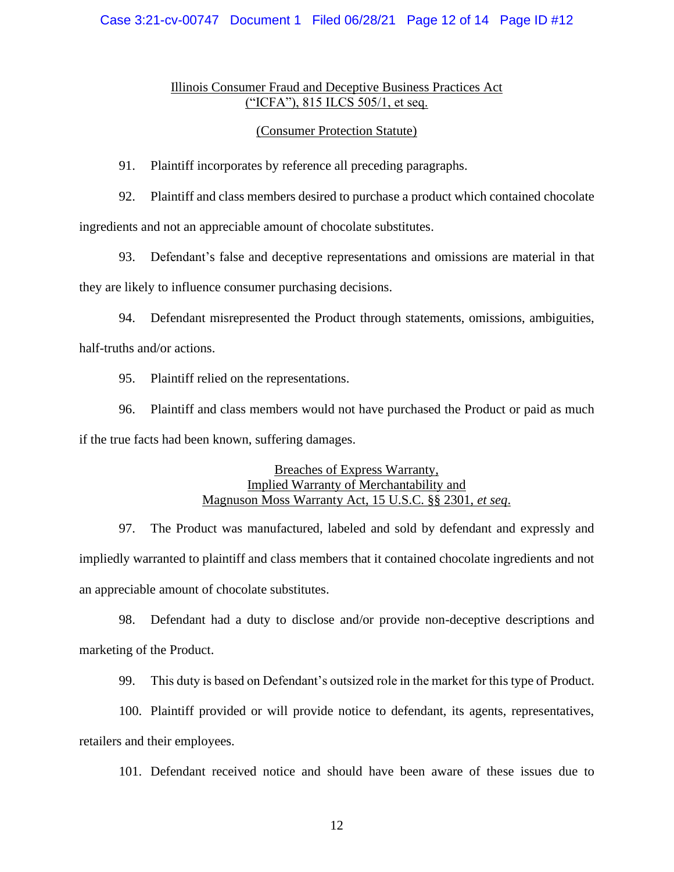## Case 3:21-cv-00747 Document 1 Filed 06/28/21 Page 12 of 14 Page ID #12

## Illinois Consumer Fraud and Deceptive Business Practices Act ("ICFA"), 815 ILCS 505/1, et seq.

#### (Consumer Protection Statute)

91. Plaintiff incorporates by reference all preceding paragraphs.

92. Plaintiff and class members desired to purchase a product which contained chocolate ingredients and not an appreciable amount of chocolate substitutes.

93. Defendant's false and deceptive representations and omissions are material in that they are likely to influence consumer purchasing decisions.

94. Defendant misrepresented the Product through statements, omissions, ambiguities, half-truths and/or actions.

95. Plaintiff relied on the representations.

96. Plaintiff and class members would not have purchased the Product or paid as much if the true facts had been known, suffering damages.

## Breaches of Express Warranty, Implied Warranty of Merchantability and Magnuson Moss Warranty Act, 15 U.S.C. §§ 2301, *et seq*.

97. The Product was manufactured, labeled and sold by defendant and expressly and impliedly warranted to plaintiff and class members that it contained chocolate ingredients and not an appreciable amount of chocolate substitutes.

98. Defendant had a duty to disclose and/or provide non-deceptive descriptions and marketing of the Product.

99. This duty is based on Defendant's outsized role in the market for this type of Product.

100. Plaintiff provided or will provide notice to defendant, its agents, representatives, retailers and their employees.

101. Defendant received notice and should have been aware of these issues due to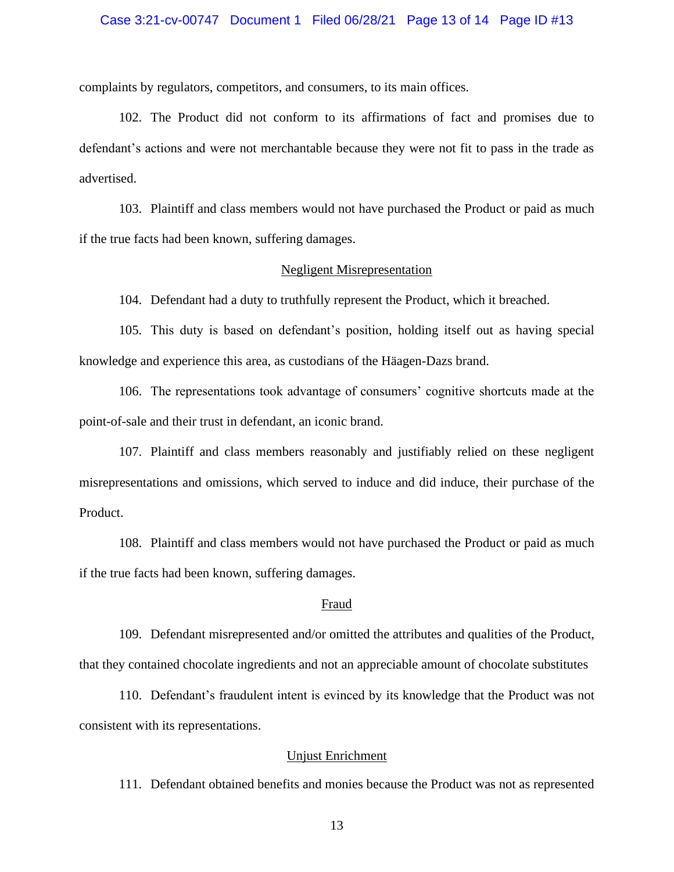#### Case 3:21-cv-00747 Document 1 Filed 06/28/21 Page 13 of 14 Page ID #13

complaints by regulators, competitors, and consumers, to its main offices.

102. The Product did not conform to its affirmations of fact and promises due to defendant's actions and were not merchantable because they were not fit to pass in the trade as advertised.

103. Plaintiff and class members would not have purchased the Product or paid as much if the true facts had been known, suffering damages.

#### Negligent Misrepresentation

104. Defendant had a duty to truthfully represent the Product, which it breached.

105. This duty is based on defendant's position, holding itself out as having special knowledge and experience this area, as custodians of the Häagen-Dazs brand.

106. The representations took advantage of consumers' cognitive shortcuts made at the point-of-sale and their trust in defendant, an iconic brand.

107. Plaintiff and class members reasonably and justifiably relied on these negligent misrepresentations and omissions, which served to induce and did induce, their purchase of the Product.

108. Plaintiff and class members would not have purchased the Product or paid as much if the true facts had been known, suffering damages.

#### Fraud

109. Defendant misrepresented and/or omitted the attributes and qualities of the Product, that they contained chocolate ingredients and not an appreciable amount of chocolate substitutes

110. Defendant's fraudulent intent is evinced by its knowledge that the Product was not consistent with its representations.

## Unjust Enrichment

111. Defendant obtained benefits and monies because the Product was not as represented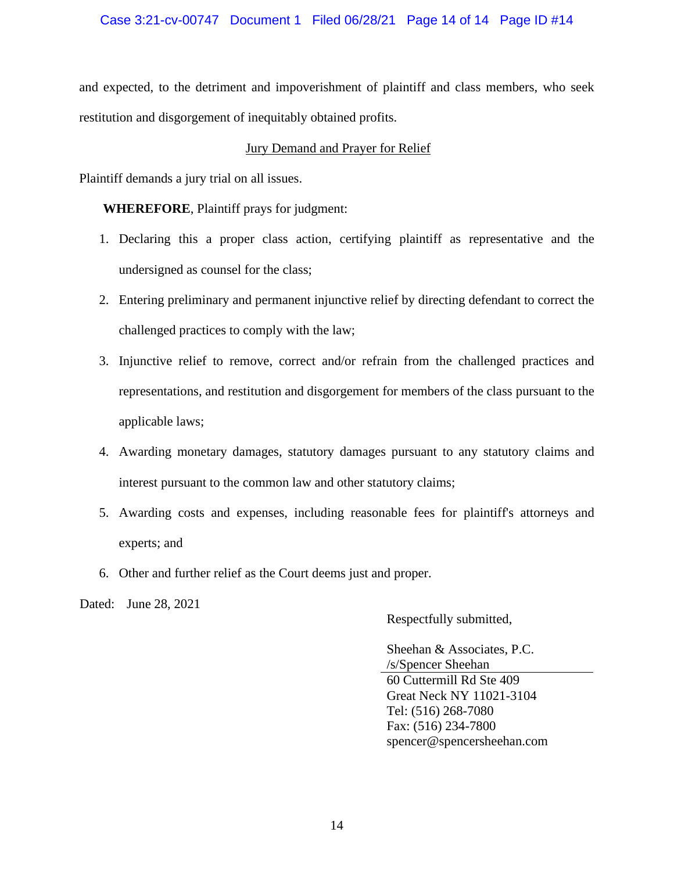## Case 3:21-cv-00747 Document 1 Filed 06/28/21 Page 14 of 14 Page ID #14

and expected, to the detriment and impoverishment of plaintiff and class members, who seek restitution and disgorgement of inequitably obtained profits.

## Jury Demand and Prayer for Relief

Plaintiff demands a jury trial on all issues.

**WHEREFORE**, Plaintiff prays for judgment:

- 1. Declaring this a proper class action, certifying plaintiff as representative and the undersigned as counsel for the class;
- 2. Entering preliminary and permanent injunctive relief by directing defendant to correct the challenged practices to comply with the law;
- 3. Injunctive relief to remove, correct and/or refrain from the challenged practices and representations, and restitution and disgorgement for members of the class pursuant to the applicable laws;
- 4. Awarding monetary damages, statutory damages pursuant to any statutory claims and interest pursuant to the common law and other statutory claims;
- 5. Awarding costs and expenses, including reasonable fees for plaintiff's attorneys and experts; and
- 6. Other and further relief as the Court deems just and proper.

Dated: June 28, 2021

Respectfully submitted,

Sheehan & Associates, P.C. /s/Spencer Sheehan 60 Cuttermill Rd Ste 409 Great Neck NY 11021-3104 Tel: (516) 268-7080 Fax: (516) 234-7800 spencer@spencersheehan.com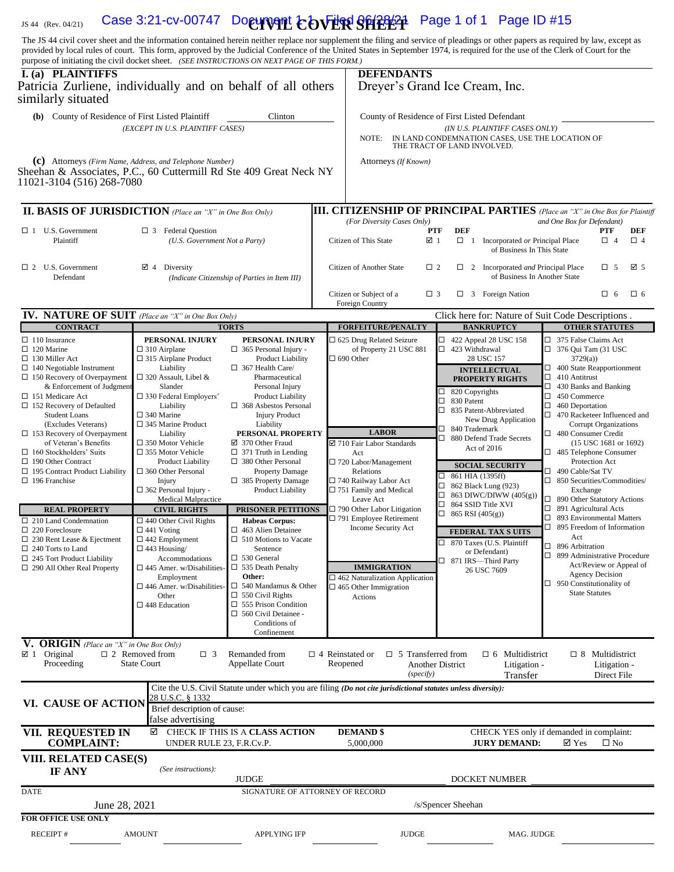## 1S 44 (Rev. 04/21) Case 3:21-cv-00747 Document **COVER SHEET** Page 1 of 1 Page ID #15

The JS 44 civil cover sheet and the information contained herein neither replace nor supplement the filing and service of pleadings or other papers as required by law, except as provided by local rules of court. This form, approved by the Judicial Conference of the United States in September 1974, is required for the use of the Clerk of Court for the nurnose of initiating the civil docket sheet (S purpose of initiating the civil docket sheet. *(SEE INSTRUCTIONS ON NEXT PAGE OF THIS FORM.)*

| purpose of initiating the civil docket sheet. (SEE INSTRUCTIONS ON NEXT PAGE OF THIS FORM.)<br>I. (a) PLAINTIFFS<br>Patricia Zurliene, individually and on behalf of all others<br>similarly situated                                                                                                                                                                                                                                                                                                                                                                                                                                                                                                           |                                                                                                                                                                                                                                                                                                                                                                                                                                                                                                                                                                                                                                                                                                                                       |                                                                                                                                                                                                                                                                                                                                                                                                                                                                                                                                                                                                                                                                                                                                            |                        | <b>DEFENDANTS</b>                                                                                                                                                                                                                                                                                                                                                                                                                                          |                                                          | Dreyer's Grand Ice Cream, Inc.                                                                                                                                                                                                                                                                                                                                                                                                                                                                                                              |                                                                                                                                                                                                                                                                                                                                                                                                                                                                                                                                                                                                                                              |                                                                                                                              |                 |  |
|-----------------------------------------------------------------------------------------------------------------------------------------------------------------------------------------------------------------------------------------------------------------------------------------------------------------------------------------------------------------------------------------------------------------------------------------------------------------------------------------------------------------------------------------------------------------------------------------------------------------------------------------------------------------------------------------------------------------|---------------------------------------------------------------------------------------------------------------------------------------------------------------------------------------------------------------------------------------------------------------------------------------------------------------------------------------------------------------------------------------------------------------------------------------------------------------------------------------------------------------------------------------------------------------------------------------------------------------------------------------------------------------------------------------------------------------------------------------|--------------------------------------------------------------------------------------------------------------------------------------------------------------------------------------------------------------------------------------------------------------------------------------------------------------------------------------------------------------------------------------------------------------------------------------------------------------------------------------------------------------------------------------------------------------------------------------------------------------------------------------------------------------------------------------------------------------------------------------------|------------------------|------------------------------------------------------------------------------------------------------------------------------------------------------------------------------------------------------------------------------------------------------------------------------------------------------------------------------------------------------------------------------------------------------------------------------------------------------------|----------------------------------------------------------|---------------------------------------------------------------------------------------------------------------------------------------------------------------------------------------------------------------------------------------------------------------------------------------------------------------------------------------------------------------------------------------------------------------------------------------------------------------------------------------------------------------------------------------------|----------------------------------------------------------------------------------------------------------------------------------------------------------------------------------------------------------------------------------------------------------------------------------------------------------------------------------------------------------------------------------------------------------------------------------------------------------------------------------------------------------------------------------------------------------------------------------------------------------------------------------------------|------------------------------------------------------------------------------------------------------------------------------|-----------------|--|
| (b) County of Residence of First Listed Plaintiff<br>Clinton<br>(EXCEPT IN U.S. PLAINTIFF CASES)<br>(C) Attorneys (Firm Name, Address, and Telephone Number)                                                                                                                                                                                                                                                                                                                                                                                                                                                                                                                                                    |                                                                                                                                                                                                                                                                                                                                                                                                                                                                                                                                                                                                                                                                                                                                       |                                                                                                                                                                                                                                                                                                                                                                                                                                                                                                                                                                                                                                                                                                                                            |                        | County of Residence of First Listed Defendant<br>(IN U.S. PLAINTIFF CASES ONLY)<br>IN LAND CONDEMNATION CASES, USE THE LOCATION OF<br>NOTE:<br>THE TRACT OF LAND INVOLVED.<br>Attorneys (If Known)                                                                                                                                                                                                                                                         |                                                          |                                                                                                                                                                                                                                                                                                                                                                                                                                                                                                                                             |                                                                                                                                                                                                                                                                                                                                                                                                                                                                                                                                                                                                                                              |                                                                                                                              |                 |  |
| Sheehan & Associates, P.C., 60 Cuttermill Rd Ste 409 Great Neck NY<br>11021-3104 (516) 268-7080                                                                                                                                                                                                                                                                                                                                                                                                                                                                                                                                                                                                                 |                                                                                                                                                                                                                                                                                                                                                                                                                                                                                                                                                                                                                                                                                                                                       |                                                                                                                                                                                                                                                                                                                                                                                                                                                                                                                                                                                                                                                                                                                                            |                        |                                                                                                                                                                                                                                                                                                                                                                                                                                                            |                                                          |                                                                                                                                                                                                                                                                                                                                                                                                                                                                                                                                             |                                                                                                                                                                                                                                                                                                                                                                                                                                                                                                                                                                                                                                              |                                                                                                                              |                 |  |
| <b>II. BASIS OF JURISDICTION</b> (Place an "X" in One Box Only)                                                                                                                                                                                                                                                                                                                                                                                                                                                                                                                                                                                                                                                 |                                                                                                                                                                                                                                                                                                                                                                                                                                                                                                                                                                                                                                                                                                                                       |                                                                                                                                                                                                                                                                                                                                                                                                                                                                                                                                                                                                                                                                                                                                            |                        |                                                                                                                                                                                                                                                                                                                                                                                                                                                            |                                                          | <b>III. CITIZENSHIP OF PRINCIPAL PARTIES</b> (Place an "X" in One Box for Plaintiff                                                                                                                                                                                                                                                                                                                                                                                                                                                         |                                                                                                                                                                                                                                                                                                                                                                                                                                                                                                                                                                                                                                              |                                                                                                                              |                 |  |
| $\Box$ 1 U.S. Government<br>$\Box$ 3 Federal Question<br>Plaintiff<br>(U.S. Government Not a Party)                                                                                                                                                                                                                                                                                                                                                                                                                                                                                                                                                                                                             |                                                                                                                                                                                                                                                                                                                                                                                                                                                                                                                                                                                                                                                                                                                                       |                                                                                                                                                                                                                                                                                                                                                                                                                                                                                                                                                                                                                                                                                                                                            |                        | (For Diversity Cases Only)<br>Citizen of This State                                                                                                                                                                                                                                                                                                                                                                                                        | PTF<br>☑ 1                                               | <b>DEF</b><br>$\Box$ 1 Incorporated or Principal Place<br>of Business In This State                                                                                                                                                                                                                                                                                                                                                                                                                                                         | and One Box for Defendant)                                                                                                                                                                                                                                                                                                                                                                                                                                                                                                                                                                                                                   | <b>PTF</b><br>$\Box$ 4                                                                                                       | DEF<br>$\Box$ 4 |  |
| $\Box$ 2 U.S. Government<br>$\boxtimes$ 4 Diversity<br>Defendant                                                                                                                                                                                                                                                                                                                                                                                                                                                                                                                                                                                                                                                |                                                                                                                                                                                                                                                                                                                                                                                                                                                                                                                                                                                                                                                                                                                                       | (Indicate Citizenship of Parties in Item III)                                                                                                                                                                                                                                                                                                                                                                                                                                                                                                                                                                                                                                                                                              |                        | Citizen of Another State                                                                                                                                                                                                                                                                                                                                                                                                                                   | $\Box$ 2                                                 | $\Box$ 2 Incorporated <i>and</i> Principal Place<br>of Business In Another State                                                                                                                                                                                                                                                                                                                                                                                                                                                            |                                                                                                                                                                                                                                                                                                                                                                                                                                                                                                                                                                                                                                              | $\Box$ 5                                                                                                                     | ⊠ 5             |  |
|                                                                                                                                                                                                                                                                                                                                                                                                                                                                                                                                                                                                                                                                                                                 |                                                                                                                                                                                                                                                                                                                                                                                                                                                                                                                                                                                                                                                                                                                                       |                                                                                                                                                                                                                                                                                                                                                                                                                                                                                                                                                                                                                                                                                                                                            |                        | Citizen or Subject of a<br>Foreign Country                                                                                                                                                                                                                                                                                                                                                                                                                 | $\Box$ 3                                                 | $\Box$ 3 Foreign Nation                                                                                                                                                                                                                                                                                                                                                                                                                                                                                                                     |                                                                                                                                                                                                                                                                                                                                                                                                                                                                                                                                                                                                                                              | $\Box$ 6                                                                                                                     | $\square$ 6     |  |
| <b>IV. NATURE OF SUIT</b> (Place an "X" in One Box Only)<br><b>CONTRACT</b>                                                                                                                                                                                                                                                                                                                                                                                                                                                                                                                                                                                                                                     |                                                                                                                                                                                                                                                                                                                                                                                                                                                                                                                                                                                                                                                                                                                                       | <b>TORTS</b>                                                                                                                                                                                                                                                                                                                                                                                                                                                                                                                                                                                                                                                                                                                               |                        | Click here for: Nature of Suit Code Descriptions.<br><b>FORFEITURE/PENALTY</b><br><b>BANKRUPTCY</b><br><b>OTHER STATUTES</b>                                                                                                                                                                                                                                                                                                                               |                                                          |                                                                                                                                                                                                                                                                                                                                                                                                                                                                                                                                             |                                                                                                                                                                                                                                                                                                                                                                                                                                                                                                                                                                                                                                              |                                                                                                                              |                 |  |
| $\Box$ 110 Insurance<br>$\Box$ 120 Marine<br>$\Box$ 130 Miller Act<br>$\Box$ 140 Negotiable Instrument<br>$\Box$ 150 Recovery of Overpayment<br>& Enforcement of Judgment<br>□ 151 Medicare Act<br>$\Box$ 152 Recovery of Defaulted<br><b>Student Loans</b><br>(Excludes Veterans)<br>$\Box$ 153 Recovery of Overpayment<br>of Veteran's Benefits<br>$\Box$ 160 Stockholders' Suits<br>$\Box$ 190 Other Contract<br>$\Box$ 195 Contract Product Liability<br>$\Box$ 196 Franchise<br><b>REAL PROPERTY</b><br>$\Box$ 210 Land Condemnation<br>$\Box$ 220 Foreclosure<br>$\Box$ 230 Rent Lease & Ejectment<br>$\Box$ 240 Torts to Land<br>$\Box$ 245 Tort Product Liability<br>$\Box$ 290 All Other Real Property | PERSONAL INJURY<br>$\Box$ 310 Airplane<br>$\Box$ 315 Airplane Product<br>Liability<br>$\Box$ 320 Assault, Libel &<br>Slander<br>$\square$ 330 Federal Employers'<br>Liability<br>$\square$ 340 Marine<br>$\square$ 345 Marine Product<br>Liability<br>$\square$ 350 Motor Vehicle<br>$\square$ 355 Motor Vehicle<br><b>Product Liability</b><br>$\square$ 360 Other Personal<br>Injury<br>$\Box$ 362 Personal Injury -<br><b>Medical Malpractice</b><br><b>CIVIL RIGHTS</b><br>$\Box$ 440 Other Civil Rights<br>$\Box$ 441 Voting<br>$\square$ 442 Employment<br>$\Box$ 443 Housing/<br>Accommodations<br>$\square$ 445 Amer. w/Disabilities-<br>Employment<br>$\square$ 446 Amer. w/Disabilities<br>Other<br>$\square$ 448 Education | PERSONAL INJURY<br>$\Box$ 365 Personal Injury -<br>Product Liability<br>$\Box$ 367 Health Care/<br>Pharmaceutical<br>Personal Injury<br>Product Liability<br>$\Box$ 368 Asbestos Personal<br><b>Injury Product</b><br>Liability<br>PERSONAL PROPERTY<br>☑ 370 Other Fraud<br>$\Box$ 371 Truth in Lending<br>$\Box$ 380 Other Personal<br><b>Property Damage</b><br>$\Box$ 385 Property Damage<br><b>Product Liability</b><br><b>PRISONER PETITIONS</b><br><b>Habeas Corpus:</b><br>$\Box$ 463 Alien Detainee<br>$\Box$ 510 Motions to Vacate<br>Sentence<br>$\Box$ 530 General<br>$\Box$ 535 Death Penalty<br>Other:<br>$\Box$ 540 Mandamus & Other<br>$\Box$ 550 Civil Rights<br>$\Box$ 555 Prison Condition<br>560 Civil Detainee -<br>□ |                        | □ 625 Drug Related Seizure<br>of Property 21 USC 881<br>$\Box$ 690 Other<br><b>LABOR</b><br>☑ 710 Fair Labor Standards<br>Act<br>$\Box$ 720 Labor/Management<br>Relations<br>□ 740 Railway Labor Act<br>$\Box$ 751 Family and Medical<br>Leave Act<br>$\Box$ 790 Other Labor Litigation<br>$\Box$ 791 Employee Retirement<br>Income Security Act<br><b>IMMIGRATION</b><br>$\Box$ 462 Naturalization Application<br>$\Box$ 465 Other Immigration<br>Actions | $\Box$<br>□<br>□<br>□<br>□<br>□<br>□<br>□<br>$\Box$<br>□ | $\Box$ 422 Appeal 28 USC 158<br>$\Box$ 423 Withdrawal<br>28 USC 157<br><b>INTELLECTUAL</b><br><b>PROPERTY RIGHTS</b><br>$\Box$ 820 Copyrights<br>830 Patent<br>835 Patent-Abbreviated<br>New Drug Application<br>840 Trademark<br>880 Defend Trade Secrets<br>Act of 2016<br><b>SOCIAL SECURITY</b><br>861 HIA (1395ff)<br>862 Black Lung (923)<br>863 DIWC/DIWW (405(g))<br>864 SSID Title XVI<br>865 RSI (405(g))<br><b>FEDERAL TAX S UITS</b><br>$\Box$ 870 Taxes (U.S. Plaintiff<br>or Defendant)<br>871 IRS-Third Party<br>26 USC 7609 | □ 375 False Claims Act<br>$\Box$ 376 Qui Tam (31 USC<br>3729(a)<br>$\Box$ 400 State Reapportionment<br>$\Box$<br>410 Antitrust<br>□ 430 Banks and Banking<br>$\Box$ 450 Commerce<br>$\Box$ 460 Deportation<br>470 Racketeer Influenced and<br>480 Consumer Credit<br>485 Telephone Consumer<br>$\Box$ 490 Cable/Sat TV<br>$\Box$ 850 Securities/Commodities/<br>Exchange<br>□ 890 Other Statutory Actions<br>$\Box$ 891 Agricultural Acts<br>$\Box$ 893 Environmental Matters<br>□ 895 Freedom of Information<br>Act<br>$\Box$ 896 Arbitration<br>□ 899 Administrative Procedure<br>$\Box$ 950 Constitutionality of<br><b>State Statutes</b> | <b>Corrupt Organizations</b><br>(15 USC 1681 or 1692)<br>Protection Act<br>Act/Review or Appeal of<br><b>Agency Decision</b> |                 |  |
| V. ORIGIN (Place an "X" in One Box Only)<br>$\boxtimes$ 1 Original<br>Proceeding                                                                                                                                                                                                                                                                                                                                                                                                                                                                                                                                                                                                                                | $\Box$ 2 Removed from<br>$\Box$ 3<br><b>State Court</b>                                                                                                                                                                                                                                                                                                                                                                                                                                                                                                                                                                                                                                                                               | Conditions of<br>Confinement<br>Remanded from<br>Appellate Court                                                                                                                                                                                                                                                                                                                                                                                                                                                                                                                                                                                                                                                                           | $\Box$ 4 Reinstated or | $\Box$ 5 Transferred from<br>Reopened                                                                                                                                                                                                                                                                                                                                                                                                                      | Another District                                         | $\Box$ 6 Multidistrict<br>Litigation -                                                                                                                                                                                                                                                                                                                                                                                                                                                                                                      |                                                                                                                                                                                                                                                                                                                                                                                                                                                                                                                                                                                                                                              | $\Box$ 8 Multidistrict<br>Litigation -                                                                                       |                 |  |
| VI. CAUSE OF ACTION                                                                                                                                                                                                                                                                                                                                                                                                                                                                                                                                                                                                                                                                                             | 28 U.S.C. § 1332<br>Brief description of cause:<br>false advertising                                                                                                                                                                                                                                                                                                                                                                                                                                                                                                                                                                                                                                                                  | Cite the U.S. Civil Statute under which you are filing (Do not cite jurisdictional statutes unless diversity):                                                                                                                                                                                                                                                                                                                                                                                                                                                                                                                                                                                                                             |                        | (specify)                                                                                                                                                                                                                                                                                                                                                                                                                                                  |                                                          | Transfer                                                                                                                                                                                                                                                                                                                                                                                                                                                                                                                                    |                                                                                                                                                                                                                                                                                                                                                                                                                                                                                                                                                                                                                                              | Direct File                                                                                                                  |                 |  |
| VII. REQUESTED IN<br><b>COMPLAINT:</b>                                                                                                                                                                                                                                                                                                                                                                                                                                                                                                                                                                                                                                                                          | ☑<br>UNDER RULE 23, F.R.Cv.P.                                                                                                                                                                                                                                                                                                                                                                                                                                                                                                                                                                                                                                                                                                         | CHECK IF THIS IS A CLASS ACTION                                                                                                                                                                                                                                                                                                                                                                                                                                                                                                                                                                                                                                                                                                            |                        | <b>DEMAND \$</b><br>5,000,000                                                                                                                                                                                                                                                                                                                                                                                                                              |                                                          | CHECK YES only if demanded in complaint:<br><b>JURY DEMAND:</b>                                                                                                                                                                                                                                                                                                                                                                                                                                                                             | $\boxtimes$ Yes                                                                                                                                                                                                                                                                                                                                                                                                                                                                                                                                                                                                                              | $\square$ No                                                                                                                 |                 |  |
| VIII. RELATED CASE(S)<br>IF ANY                                                                                                                                                                                                                                                                                                                                                                                                                                                                                                                                                                                                                                                                                 | (See instructions):                                                                                                                                                                                                                                                                                                                                                                                                                                                                                                                                                                                                                                                                                                                   |                                                                                                                                                                                                                                                                                                                                                                                                                                                                                                                                                                                                                                                                                                                                            |                        |                                                                                                                                                                                                                                                                                                                                                                                                                                                            |                                                          |                                                                                                                                                                                                                                                                                                                                                                                                                                                                                                                                             |                                                                                                                                                                                                                                                                                                                                                                                                                                                                                                                                                                                                                                              |                                                                                                                              |                 |  |
| <b>DATE</b>                                                                                                                                                                                                                                                                                                                                                                                                                                                                                                                                                                                                                                                                                                     |                                                                                                                                                                                                                                                                                                                                                                                                                                                                                                                                                                                                                                                                                                                                       | <b>JUDGE</b><br>SIGNATURE OF ATTORNEY OF RECORD                                                                                                                                                                                                                                                                                                                                                                                                                                                                                                                                                                                                                                                                                            |                        | DOCKET NUMBER                                                                                                                                                                                                                                                                                                                                                                                                                                              |                                                          |                                                                                                                                                                                                                                                                                                                                                                                                                                                                                                                                             |                                                                                                                                                                                                                                                                                                                                                                                                                                                                                                                                                                                                                                              |                                                                                                                              |                 |  |
| June 28, 2021                                                                                                                                                                                                                                                                                                                                                                                                                                                                                                                                                                                                                                                                                                   |                                                                                                                                                                                                                                                                                                                                                                                                                                                                                                                                                                                                                                                                                                                                       |                                                                                                                                                                                                                                                                                                                                                                                                                                                                                                                                                                                                                                                                                                                                            |                        |                                                                                                                                                                                                                                                                                                                                                                                                                                                            |                                                          | /s/Spencer Sheehan                                                                                                                                                                                                                                                                                                                                                                                                                                                                                                                          |                                                                                                                                                                                                                                                                                                                                                                                                                                                                                                                                                                                                                                              |                                                                                                                              |                 |  |
| <b>FOR OFFICE USE ONLY</b>                                                                                                                                                                                                                                                                                                                                                                                                                                                                                                                                                                                                                                                                                      |                                                                                                                                                                                                                                                                                                                                                                                                                                                                                                                                                                                                                                                                                                                                       |                                                                                                                                                                                                                                                                                                                                                                                                                                                                                                                                                                                                                                                                                                                                            |                        |                                                                                                                                                                                                                                                                                                                                                                                                                                                            |                                                          |                                                                                                                                                                                                                                                                                                                                                                                                                                                                                                                                             |                                                                                                                                                                                                                                                                                                                                                                                                                                                                                                                                                                                                                                              |                                                                                                                              |                 |  |
| <b>RECEIPT#</b>                                                                                                                                                                                                                                                                                                                                                                                                                                                                                                                                                                                                                                                                                                 | <b>AMOUNT</b>                                                                                                                                                                                                                                                                                                                                                                                                                                                                                                                                                                                                                                                                                                                         | <b>APPLYING IFP</b>                                                                                                                                                                                                                                                                                                                                                                                                                                                                                                                                                                                                                                                                                                                        |                        | <b>JUDGE</b>                                                                                                                                                                                                                                                                                                                                                                                                                                               |                                                          | MAG. JUDGE                                                                                                                                                                                                                                                                                                                                                                                                                                                                                                                                  |                                                                                                                                                                                                                                                                                                                                                                                                                                                                                                                                                                                                                                              |                                                                                                                              |                 |  |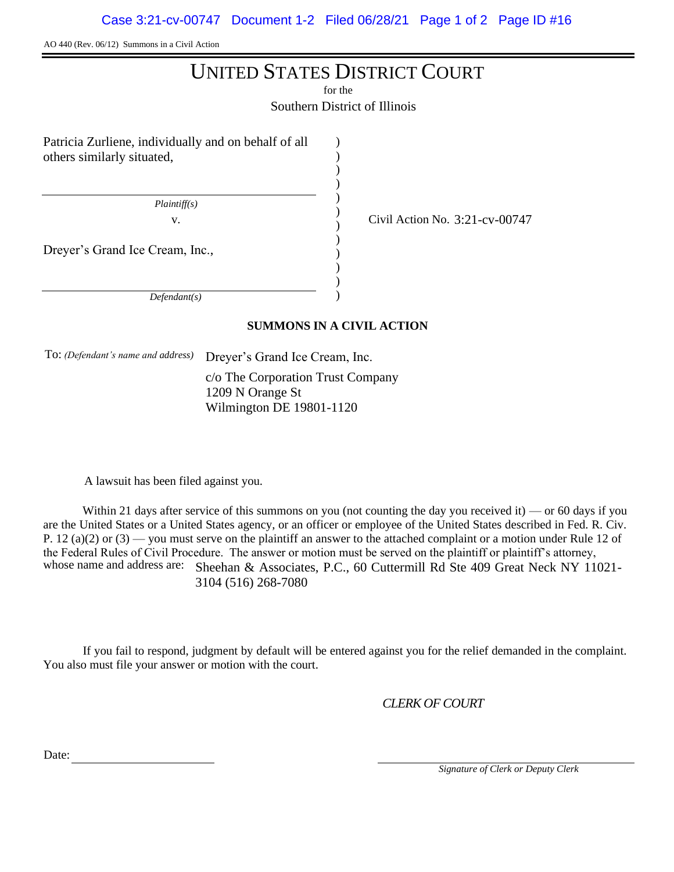AO 440 (Rev. 06/12) Summons in a Civil Action

# UNITED STATES DISTRICT COURT

for the

Southern District of Illinois

) ) ) ) ) ) ) ) ) ) ) )

Patricia Zurliene, individually and on behalf of all others similarly situated,

 *Plaintiff(s)*

v.  $\frac{1}{2}$  Civil Action No. 3:21-cv-00747

Dreyer's Grand Ice Cream, Inc.,

 *Defendant(s)*

## **SUMMONS IN A CIVIL ACTION**

To: *(Defendant's name and address)* Dreyer's Grand Ice Cream, Inc.

c/o The Corporation Trust Company 1209 N Orange St Wilmington DE 19801-1120

A lawsuit has been filed against you.

Within 21 days after service of this summons on you (not counting the day you received it) — or 60 days if you are the United States or a United States agency, or an officer or employee of the United States described in Fed. R. Civ. P. 12 (a)(2) or  $(3)$  — you must serve on the plaintiff an answer to the attached complaint or a motion under Rule 12 of the Federal Rules of Civil Procedure. The answer or motion must be served on the plaintiff or plaintiff's attorney, whose name and address are: Sheehan & Associates, P.C., 60 Cuttermill Rd Ste 409 Great Neck NY 11021-3104 (516) 268-7080

If you fail to respond, judgment by default will be entered against you for the relief demanded in the complaint. You also must file your answer or motion with the court.

*CLERK OF COURT*

Date:

 *Signature of Clerk or Deputy Clerk*